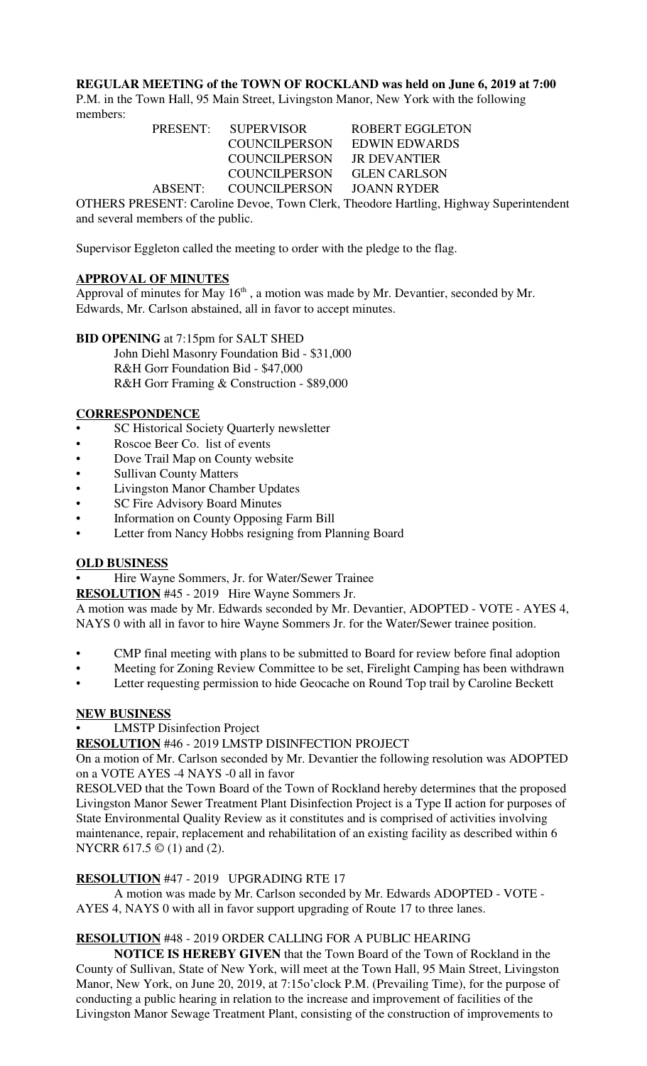### **REGULAR MEETING of the TOWN OF ROCKLAND was held on June 6, 2019 at 7:00**

P.M. in the Town Hall, 95 Main Street, Livingston Manor, New York with the following members:

PRESENT: SUPERVISOR ROBERT EGGLETON COUNCILPERSON EDWIN EDWARDS COUNCILPERSON JR DEVANTIER COUNCILPERSON GLEN CARLSON ABSENT: COUNCILPERSON JOANN RYDER

OTHERS PRESENT: Caroline Devoe, Town Clerk, Theodore Hartling, Highway Superintendent and several members of the public.

Supervisor Eggleton called the meeting to order with the pledge to the flag.

## **APPROVAL OF MINUTES**

Approval of minutes for May  $16<sup>th</sup>$ , a motion was made by Mr. Devantier, seconded by Mr. Edwards, Mr. Carlson abstained, all in favor to accept minutes.

**BID OPENING** at 7:15pm for SALT SHED John Diehl Masonry Foundation Bid - \$31,000 R&H Gorr Foundation Bid - \$47,000 R&H Gorr Framing & Construction - \$89,000

## **CORRESPONDENCE**

- SC Historical Society Quarterly newsletter
- Roscoe Beer Co. list of events
- Dove Trail Map on County website
- Sullivan County Matters
- Livingston Manor Chamber Updates
- SC Fire Advisory Board Minutes
- Information on County Opposing Farm Bill
- Letter from Nancy Hobbs resigning from Planning Board

### **OLD BUSINESS**

• Hire Wayne Sommers, Jr. for Water/Sewer Trainee

**RESOLUTION** #45 - 2019 Hire Wayne Sommers Jr.

A motion was made by Mr. Edwards seconded by Mr. Devantier, ADOPTED - VOTE - AYES 4, NAYS 0 with all in favor to hire Wayne Sommers Jr. for the Water/Sewer trainee position.

- CMP final meeting with plans to be submitted to Board for review before final adoption
- Meeting for Zoning Review Committee to be set, Firelight Camping has been withdrawn
- Letter requesting permission to hide Geocache on Round Top trail by Caroline Beckett

### **NEW BUSINESS**

**LMSTP** Disinfection Project

**RESOLUTION** #46 - 2019 LMSTP DISINFECTION PROJECT

On a motion of Mr. Carlson seconded by Mr. Devantier the following resolution was ADOPTED on a VOTE AYES -4 NAYS -0 all in favor

RESOLVED that the Town Board of the Town of Rockland hereby determines that the proposed Livingston Manor Sewer Treatment Plant Disinfection Project is a Type II action for purposes of State Environmental Quality Review as it constitutes and is comprised of activities involving maintenance, repair, replacement and rehabilitation of an existing facility as described within 6 NYCRR 617.5 © (1) and (2).

# **RESOLUTION** #47 - 2019 UPGRADING RTE 17

A motion was made by Mr. Carlson seconded by Mr. Edwards ADOPTED - VOTE - AYES 4, NAYS 0 with all in favor support upgrading of Route 17 to three lanes.

# **RESOLUTION** #48 - 2019 ORDER CALLING FOR A PUBLIC HEARING

**NOTICE IS HEREBY GIVEN** that the Town Board of the Town of Rockland in the County of Sullivan, State of New York, will meet at the Town Hall, 95 Main Street, Livingston Manor, New York, on June 20, 2019, at 7:15o'clock P.M. (Prevailing Time), for the purpose of conducting a public hearing in relation to the increase and improvement of facilities of the Livingston Manor Sewage Treatment Plant, consisting of the construction of improvements to